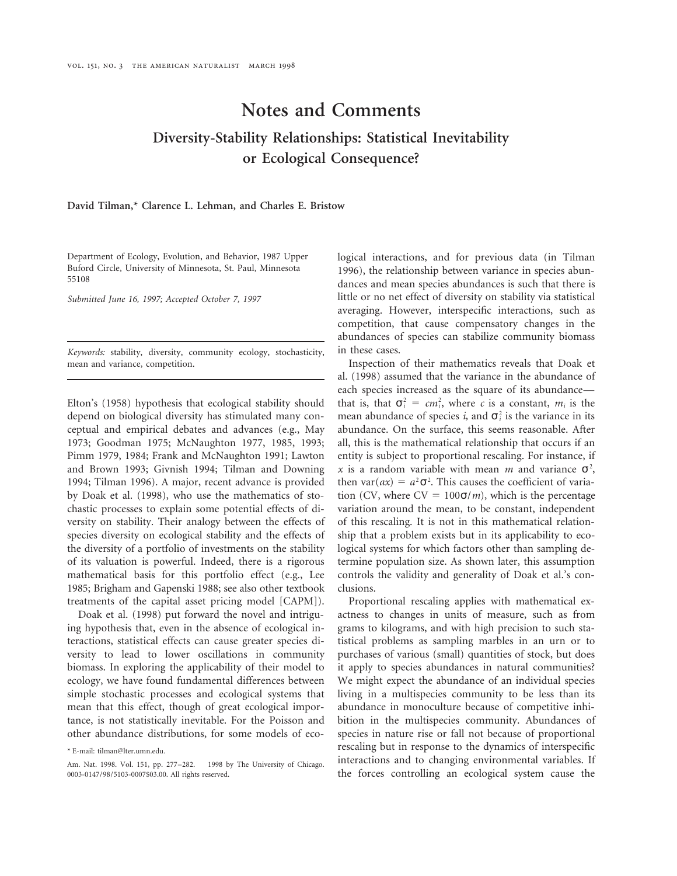# **Notes and Comments Diversity-Stability Relationships: Statistical Inevitability or Ecological Consequence?**

**David Tilman,\* Clarence L. Lehman, and Charles E. Bristow**

*Keywords:* stability, diversity, community ecology, stochasticity, in these cases. mean and variance, competition. Inspection of their mathematics reveals that Doak et

Elton's (1958) hypothesis that ecological stability should that is, that  $\sigma_i^2 = cm_i^2$ , where *c* is a constant,  $m_i$  is the depend on biological diversity has stimulated many conceptual and empirical debates and advances (e.g., May abundance. On the surface, this seems reasonable. After 1973; Goodman 1975; McNaughton 1977, 1985, 1993; all, this is the mathematical relationship that occurs if an Pimm 1979, 1984; Frank and McNaughton 1991; Lawton entity is subject to proportional rescaling. For instance, if and Brown 1993; Givnish 1994; Tilman and Downing 1994; Tilman 1996). A major, recent advance is provided then var( $ax$ ) =  $a^2\sigma^2$ . This causes the coefficient of variaby Doak et al. (1998), who use the mathematics of sto-<br>tion (CV, where  $CV = 100\sigma/m$ ), which is the percentage chastic processes to explain some potential effects of di- variation around the mean, to be constant, independent versity on stability. Their analogy between the effects of of this rescaling. It is not in this mathematical relationspecies diversity on ecological stability and the effects of ship that a problem exists but in its applicability to ecothe diversity of a portfolio of investments on the stability logical systems for which factors other than sampling deof its valuation is powerful. Indeed, there is a rigorous termine population size. As shown later, this assumption mathematical basis for this portfolio effect (e.g., Lee controls the validity and generality of Doak et al.'s con-1985; Brigham and Gapenski 1988; see also other textbook clusions. treatments of the capital asset pricing model [CAPM]). Proportional rescaling applies with mathematical ex-

ing hypothesis that, even in the absence of ecological in- grams to kilograms, and with high precision to such stateractions, statistical effects can cause greater species di- tistical problems as sampling marbles in an urn or to versity to lead to lower oscillations in community purchases of various (small) quantities of stock, but does biomass. In exploring the applicability of their model to it apply to species abundances in natural communities? ecology, we have found fundamental differences between We might expect the abundance of an individual species simple stochastic processes and ecological systems that living in a multispecies community to be less than its mean that this effect, though of great ecological impor- abundance in monoculture because of competitive inhitance, is not statistically inevitable. For the Poisson and bition in the multispecies community. Abundances of other abundance distributions, for some models of eco- species in nature rise or fall not because of proportional

Department of Ecology, Evolution, and Behavior, 1987 Upper logical interactions, and for previous data (in Tilman Buford Circle, University of Minnesota, St. Paul, Minnesota 1996), the relationship between variance in species abun-<br>55108 dances and mean species abundances is such that there is *Submitted June 16, 1997; Accepted October 7, 1997* little or no net effect of diversity on stability via statistical averaging. However, interspecific interactions, such as competition, that cause compensatory changes in the abundances of species can stabilize community biomass

> al. (1998) assumed that the variance in the abundance of each species increased as the square of its abundance mean abundance of species *i*, and  $\sigma_i^2$  is the variance in its x is a random variable with mean m and variance  $\sigma^2$ ,

Doak et al. (1998) put forward the novel and intrigu- actness to changes in units of measure, such as from rescaling but in response to the dynamics of interspecific \* E-mail: tilman@lter.umn.edu. Am. Nat. 1998. Vol. 151, pp. 277–282. © 1998 by The University of Chicago. interactions and to changing environmental variables. If the forces controlling an ecological system cause the the forces controlling an ecological system cause the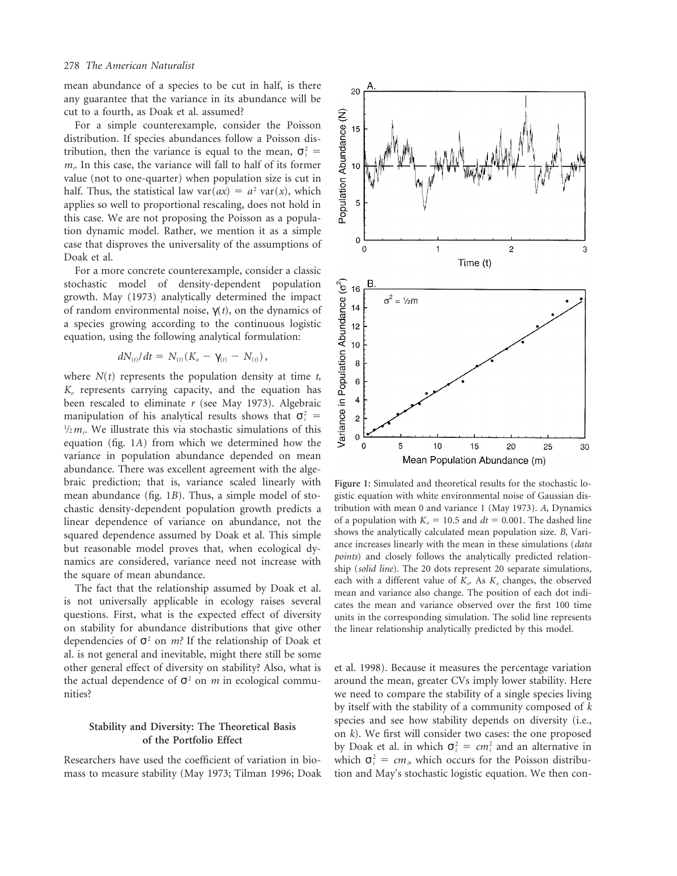mean abundance of a species to be cut in half, is there any guarantee that the variance in its abundance will be cut to a fourth, as Doak et al. assumed?

For a simple counterexample, consider the Poisson distribution. If species abundances follow a Poisson distribution, then the variance is equal to the mean,  $\sigma_i^2$  =  $m<sub>i</sub>$ . In this case, the variance will fall to half of its former value (not to one-quarter) when population size is cut in half. Thus, the statistical law var( $ax$ ) =  $a^2$  var(x), which applies so well to proportional rescaling, does not hold in this case. We are not proposing the Poisson as a population dynamic model. Rather, we mention it as a simple case that disproves the universality of the assumptions of Doak et al.

For a more concrete counterexample, consider a classic stochastic model of density-dependent population growth. May (1973) analytically determined the impact of random environmental noise, γ(*t*), on the dynamics of a species growing according to the continuous logistic equation, using the following analytical formulation:

$$
dN_{(t)}/dt = N_{(t)}(K_o - \gamma_{(t)} - N_{(t)}),
$$

where  $N(t)$  represents the population density at time  $t$ , *Ko* represents carrying capacity, and the equation has been rescaled to eliminate *r* (see May 1973). Algebraic manipulation of his analytical results shows that  $\sigma_i^2$  =  $\frac{1}{2}m_i$ . We illustrate this via stochastic simulations of this equation (fig. 1*A*) from which we determined how the variance in population abundance depended on mean abundance. There was excellent agreement with the algebraic prediction; that is, variance scaled linearly with **Figure 1:** Simulated and theoretical results for the stochastic lomean abundance (fig. 1*B*). Thus, a simple model of sto-<br>gistic equation with white environmental noise of Gaussian dischastic density-dependent population growth predicts a tribution with mean 0 and variance 1 (May 1973). *A,* Dynamics linear dependence of variance on abundance, not the of a population with  $K_0 = 10.5$  and  $dt = 0.001$ . The dashed line<br>squared dependence assumed by Doak et al. This simple shows the analytically calculated mean population

questions. First, what is the expected effect of diversity units in the corresponding simulation. The solid line represents on stability for abundance distributions that give other the linear relationship analytically pred dependencies of  $\sigma^2$  on *m*? If the relationship of Doak et al. is not general and inevitable, might there still be some other general effect of diversity on stability? Also, what is et al. 1998). Because it measures the percentage variation the actual dependence of  $\sigma^2$  on *m* in ecological commu- around the mean, greater CVs imply lower stability. Here nities? we need to compare the stability of a single species living

mass to measure stability (May 1973; Tilman 1996; Doak tion and May's stochastic logistic equation. We then con-



squared dependence assumed by Doak et al. This simple<br>but reasonable model proves that, when ecological dy-<br>namics are considered, variance need not increase with<br>the square of mean abundance.<br>The fact that the relationsh the linear relationship analytically predicted by this model.

by itself with the stability of a community composed of *k* Stability and Diversity: The Theoretical Basis species and see how stability depends on diversity (i.e., on k). We first will consider two cases: the one proposed by Doak et al. in which  $\sigma_i^2 = cm_i^2$  and an alternative in Researchers have used the coefficient of variation in bio- which  $\sigma_i^2 = cm_i$ , which occurs for the Poisson distribu-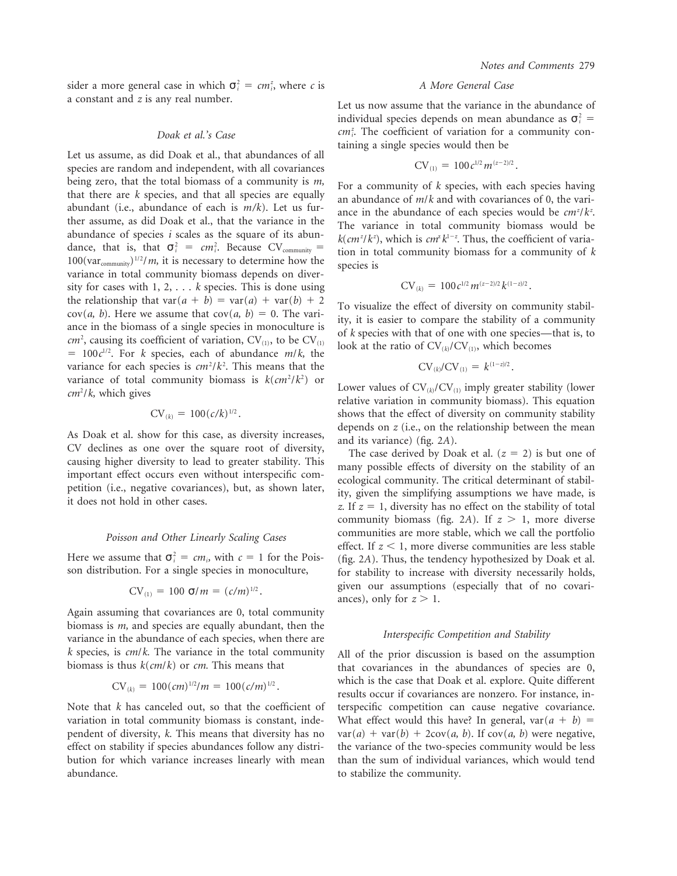sider a more general case in which  $\sigma_i^2 = cm_i^2$ a constant and *<sup>z</sup>* is any real number. Let us now assume that the variance in the abundance of

taining a single species would then be Let us assume, as did Doak et al., that abundances of all species are random and independent, with all covariances being zero, that the total biomass of a community is  $m$ ,<br>that there are k species, and that all species are equally<br>an abundance of  $m/k$  and with covariances of 0, the vari-<br>abundant (i.e., abundance of each is  $m/k$ ). Le 100(var<sub>community</sub>)<sup>1</sup>/*m*, it is necessary to determine how the species is variance in total community biomass depends on diversity for cases with  $1, 2, \ldots$  *k* species. This is done using the relationship that var( $a + b$ ) = var( $a$ ) + var( $b$ ) + 2<br>cov( $a$ ,  $b$ ). Here we assume that cov( $a$ ,  $b$ ) = 0. The vari-<br>ance in the biomass of a single species in monoculture is<br> $cm^2$ , causing its coefficient of variat  $= 100c^{1/2}$ . For *k* species, each of abundance *m/k*, the variance for each species is  $cm^2/k^2$ . This means that the  $CV_{(k)}/CV_{(1)} = k^{(1-z)/2}$ . variance of total community biomass is  $k(cm^2/k^2)$  $\mu_{\text{c}}(m^2/k)$ , which gives  $\mu_{\text{c}}(m^2)$  by  $\mu_{\text{c}}(m^2)$  contains to  $\mu_{\text{c}}(m^2)$ . Lower values of  $CV_{(k)}/CV_{(1)}$  imply greater stability (lower

$$
CV_{(k)} = 100(c/k)^{1/2}.
$$

As Doak et al. show for this case, as diversity increases,<br>CV declines as one over the square root of diversity,<br>causing higher diversity to lead to greater stability. This<br>important effect occurs even without interspecif

Here we assume that  $\sigma_i^2 = cm_i$ , with  $c = 1$  for the Pois-

$$
CV_{(1)} = 100 \text{ } \sigma/m = (c/m)^{1/2}
$$

Again assuming that covariances are 0, total community biomass is *m*, and species are equally abundant, then the *Interspecific Competition and Stability* variance in the abundance of each species, when there are *k* species, is *cm*/*k*. The variance in the total community All of the prior discussion is based on the assumption biomass is thus  $k(cm/k)$  or *cm*. This means that

$$
CV_{(k)} = 100 \, (cm)^{1/2} / m = 100 \, (c/m)^{1/2}
$$

variation in total community biomass is constant, inde-<br>What effect would this have? In general, var( $a + b$ ) = pendent of diversity, *k*. This means that diversity has no  $var(a) + var(b) + 2cov(a, b)$ . If  $cov(a, b)$  were negative, effect on stability if species abundances follow any distri- the variance of the two-species community would be less bution for which variance increases linearly with mean than the sum of individual variances, which would tend abundance. The community is to stabilize the community.

### *<sup>i</sup>* , where *c* is *A More General Case*

individual species depends on mean abundance as  $\sigma_i^2$  = *Doak et al.'s Case* .  $cm_i^z$ . The coefficient of variation for a community con-

$$
CV_{(1)} = 100 c^{1/2} m^{(z-2)/2}
$$

ance in the abundance of each species would be  $cm^2/k^2$ . ther assume, as did Doak et al., that the variance in the The variance in total community biomass would be abundance of species *i* scales as the square of its abun-  $k(cm^z k^z)$  which is  $cn^z k^{1-z}$  Thus the coefficient of  $/k^{z}$ ), which is  $cm^{z}k^{1-z}$ abundance of species *i* scales as the square of its abun-<br>dance, that is, that  $\sigma_i^2 = cm_i^2$ . Because CV<sub>community</sub> = tion in total community biomass for a community of k dance, that is, that  $\sigma_i = cm_i$ . Because CV<sub>community</sub>  $\frac{1}{\sigma_i}$  tion in total community biomass for a community of *k* in 100(var<sub>community</sub>)<sup>1/2</sup>/*m*, it is necessary to determine how the species is

$$
CV_{(k)} = 100 c^{1/2} m^{(z-2)/2} k^{(1-z)/2}
$$

$$
CV_{(k)}/CV_{(1)} = k^{(1-z)/2}.
$$

relative variation in community biomass). This equation shows that the effect of diversity on community stability

*z*. If  $z = 1$ , diversity has no effect on the stability of total community biomass (fig. 2A). If  $z > 1$ , more diverse *Poisson and Other Linearly Scaling Cases* communities are more stable, which we call the portfolio effect. If  $z < 1$ , more diverse communities are less stable *i* 5 Here we assume that  $\sigma_i^2 = cm_i$ , with  $c = 1$  for the Pois- (fig. 2*A*). Thus, the tendency hypothesized by Doak et al.<br>Son distribution. For a single species in monoculture, for stability to increase with diversity n for stability to increase with diversity necessarily holds, given our assumptions (especially that of no covari-<br>ances), only for  $z > 1$ .

that covariances in the abundances of species are 0, which is the case that Doak et al. explore. Quite different results occur if covariances are nonzero. For instance, in-Note that *k* has canceled out, so that the coefficient of terspecific competition can cause negative covariance.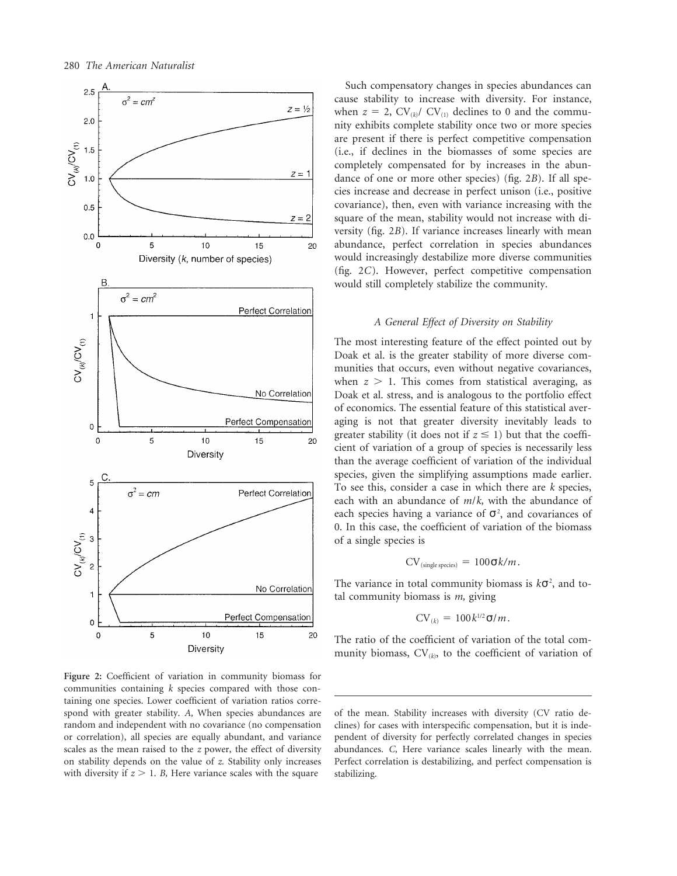

**Figure 2:** Coefficient of variation in community biomass for communities containing *k* species compared with those containing one species. Lower coefficient of variation ratios correspond with greater stability. *A,* When species abundances are of the mean. Stability increases with diversity (CV ratio derandom and independent with no covariance (no compensation clines) for cases with interspecific compensation, but it is indeor correlation), all species are equally abundant, and variance pendent of diversity for perfectly correlated changes in species scales as the mean raised to the *z* power, the effect of diversity abundances. *C,* Here variance scales linearly with the mean. on stability depends on the value of *z.* Stability only increases Perfect correlation is destabilizing, and perfect compensation is with diversity if  $z > 1$ . *B*, Here variance scales with the square stabilizing.

Such compensatory changes in species abundances can cause stability to increase with diversity. For instance, when  $z = 2$ ,  $CV_{(k)}/CV_{(1)}$  declines to 0 and the community exhibits complete stability once two or more species are present if there is perfect competitive compensation (i.e., if declines in the biomasses of some species are completely compensated for by increases in the abundance of one or more other species) (fig. 2*B*). If all species increase and decrease in perfect unison (i.e., positive covariance), then, even with variance increasing with the square of the mean, stability would not increase with diversity (fig. 2*B*). If variance increases linearly with mean abundance, perfect correlation in species abundances would increasingly destabilize more diverse communities (fig. 2*C*). However, perfect competitive compensation would still completely stabilize the community.

# *A General Effect of Diversity on Stability*

The most interesting feature of the effect pointed out by Doak et al. is the greater stability of more diverse communities that occurs, even without negative covariances, when  $z > 1$ . This comes from statistical averaging, as Doak et al. stress, and is analogous to the portfolio effect of economics. The essential feature of this statistical averaging is not that greater diversity inevitably leads to greater stability (it does not if  $z \leq 1$ ) but that the coefficient of variation of a group of species is necessarily less than the average coefficient of variation of the individual species, given the simplifying assumptions made earlier. To see this, consider a case in which there are *k* species, each with an abundance of *m*/*k,* with the abundance of each species having a variance of  $\sigma^2$ , and covariances of 0. In this case, the coefficient of variation of the biomass of a single species is

$$
CV_{(\text{single species})} = 100\sigma k/m.
$$

The variance in total community biomass is  $k\sigma^2$ , and total community biomass is *m,* giving

$$
CV_{(k)} = 100k^{1/2}\sigma/m.
$$

The ratio of the coefficient of variation of the total community biomass,  $CV_{(k)}$ , to the coefficient of variation of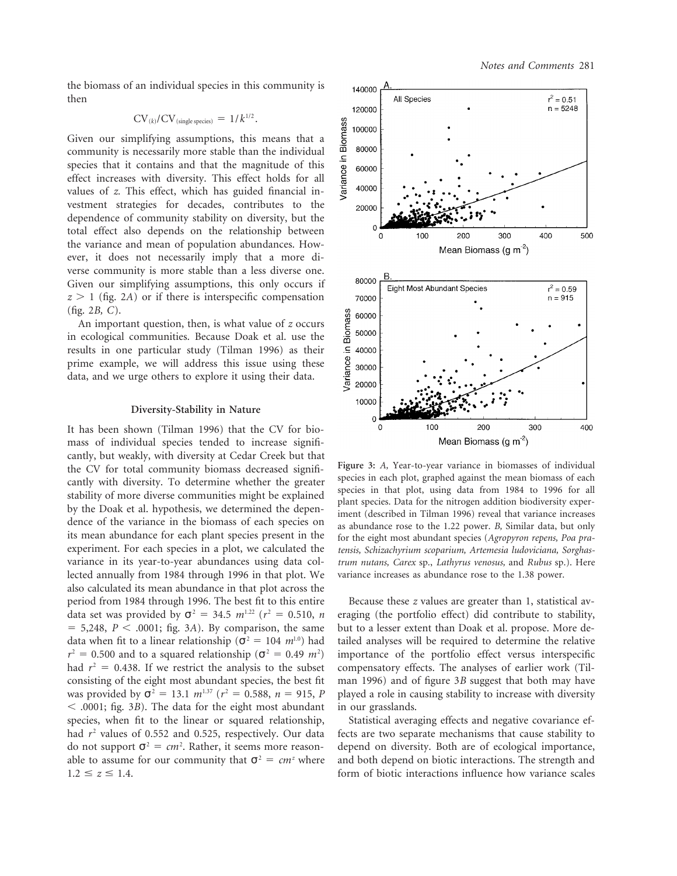the biomass of an individual species in this community is then

$$
CV_{(k)}/CV_{(single species)} = 1/k^{1/2}.
$$

Given our simplifying assumptions, this means that a community is necessarily more stable than the individual species that it contains and that the magnitude of this effect increases with diversity. This effect holds for all values of *z.* This effect, which has guided financial investment strategies for decades, contributes to the dependence of community stability on diversity, but the total effect also depends on the relationship between the variance and mean of population abundances. However, it does not necessarily imply that a more diverse community is more stable than a less diverse one. Given our simplifying assumptions, this only occurs if  $z > 1$  (fig. 2*A*) or if there is interspecific compensation (fig. 2*B, C*).

An important question, then, is what value of *z* occurs in ecological communities. Because Doak et al. use the results in one particular study (Tilman 1996) as their prime example, we will address this issue using these data, and we urge others to explore it using their data.

### **Diversity-Stability in Nature**

It has been shown (Tilman 1996) that the CV for biomass of individual species tended to increase significantly, but weakly, with diversity at Cedar Creek but that<br>the CV for total community biomass decreased signifi-<br>cantly with diversity. To determine whether the greater<br>stability of more diverse communities might be explai experiment. For each species in a plot, we calculated the *tensis, Schizachyrium scoparium, Artemesia ludoviciana, Sorghas*variance in its year-to-year abundances using data col- *trum nutans, Carex* sp., *Lathyrus venosus,* and *Rubus* sp.). Here lected annually from 1984 through 1996 in that plot. We variance increases as abundance rose to the 1.38 power. also calculated its mean abundance in that plot across the period from 1984 through 1996. The best fit to this entire Because these *z* values are greater than 1, statistical av-<br>data set was provided by  $\sigma^2 = 34.5 \ m^{1.22}$  ( $r^2 = 0.510$ , *n* eraging (the portfolio effect) did c  $= 5,248, P < .0001$ ; fig. 3A). By comparison, the same but to a lesser extent than Doak et al. propose. More dedata when fit to a linear relationship ( $\sigma^2 = 104$  *m*<sup>1.0</sup>) had tailed analyses will be required to determine the relative  $r^2 = 0.500$  and to a squared relationship ( $\sigma^2 = 0.49$  *m*<sup>2</sup>) had  $r^2 = 0.438$ . If we restrict the analysis to the subset compensatory effects. The analyses of earlier work (Tilconsisting of the eight most abundant species, the best fit man 1996) and of figure 3*B* suggest that both may have was provided by  $\sigma^2 = 13.1 \ m^{1.37}$  ( $r^2 = 0.588$ ,  $n = 915$ , *P* played a role in causing stability to increase with diversity , .0001; fig. 3*B*). The data for the eight most abundant in our grasslands. species, when fit to the linear or squared relationship, Statistical averaging effects and negative covariance efdo not support  $\sigma^2 = cm^2$ . Rather, it seems more reason-



eraging (the portfolio effect) did contribute to stability, ) importance of the portfolio effect versus interspecific

had  $r^2$  values of 0.552 and 0.525, respectively. Our data fects are two separate mechanisms that cause stability to depend on diversity. Both are of ecological importance, able to assume for our community that  $\sigma^2 = cm^2$  where and both depend on biotic interactions. The strength and  $1.2 \le z \le 1.4$ .